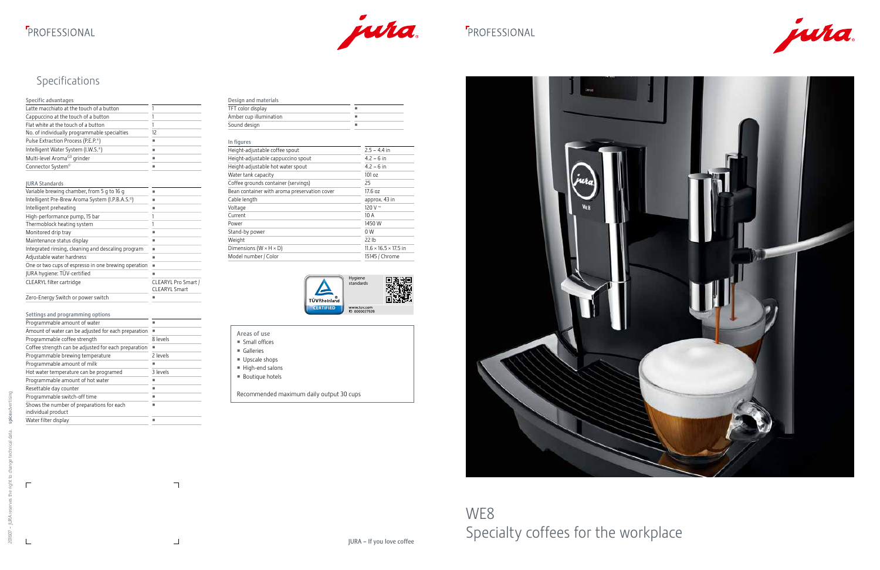### **F**PROFESSIONAL



## FROFESSIONAL

 $\perp$ 

 $\top$ 



### Specifications

### Specific advantages

| Latte macchiato at the touch of a button                     | 1                                           |
|--------------------------------------------------------------|---------------------------------------------|
| Cappuccino at the touch of a button                          | 1                                           |
| Flat white at the touch of a button                          | 1                                           |
| No. of individually programmable specialties                 | 12                                          |
| Pulse Extraction Process (P.E.P.®)                           | ш                                           |
| Intelligent Water System (I.W.S.®)                           | ·                                           |
| Multi-level Aroma <sup>G3</sup> grinder                      | ٠                                           |
| Connector System <sup>®</sup>                                |                                             |
|                                                              |                                             |
| <b>JURA Standards</b>                                        |                                             |
| Variable brewing chamber, from 5 g to 16 g                   |                                             |
| Intelligent Pre-Brew Aroma System (I.P.B.A.S. <sup>o</sup> ) | -                                           |
| Intelligent preheating                                       | -                                           |
| High-performance pump, 15 bar                                | 1                                           |
| Thermoblock heating system                                   | 1                                           |
| Monitored drip tray                                          |                                             |
| Maintenance status display                                   |                                             |
| Integrated rinsing, cleaning and descaling program           |                                             |
| Adjustable water hardness                                    | ш                                           |
| One or two cups of espresso in one brewing operation         | п                                           |
| JURA hygiene: TÜV-certified                                  |                                             |
| CLEARYL filter cartridge                                     | CLEARYL Pro Smart /<br><b>CLEARYL Smart</b> |
| Zero-Energy Switch or power switch                           | п                                           |

### Settings and programming options

| bettings and programming options                     |          |
|------------------------------------------------------|----------|
| Programmable amount of water                         |          |
| Amount of water can be adjusted for each preparation |          |
| Programmable coffee strength                         | 8 levels |
| Coffee strength can be adjusted for each preparation |          |
| Programmable brewing temperature                     | 2 levels |
| Programmable amount of milk                          |          |
| Hot water temperature can be programed               | 3 levels |
| Programmable amount of hot water                     |          |
| Resettable day counter                               |          |
| Programmable switch-off time                         |          |
| Shows the number of preparations for each            |          |
| individual product                                   |          |
| Water filter display                                 |          |
|                                                      |          |

| Design and materials   |  |
|------------------------|--|
| TFT color display      |  |
| Amber cup illumination |  |
| Sound design           |  |

### In figures

| Height-adjustable coffee spout               | $2.5 - 4.4$ in                    |
|----------------------------------------------|-----------------------------------|
| Height-adjustable cappuccino spout           | $4.2 - 6$ in                      |
| Height-adjustable hot water spout            | $4.2 - 6$ in                      |
| Water tank capacity                          | 101 oz                            |
| Coffee grounds container (servings)          | 25                                |
| Bean container with aroma preservation cover | 17.6 oz                           |
| Cable length                                 | approx. 43 in                     |
| Voltage                                      | 120 V $\sim$                      |
| Current                                      | 10 A                              |
| Power                                        | 1450 W                            |
| Stand-by power                               | 0 W                               |
| Weight                                       | 22 lb                             |
| Dimensions ( $W \times H \times D$ )         | $11.6 \times 16.5 \times 17.5$ in |
| Model number / Color                         | 15145 / Chrome                    |
|                                              |                                   |



- Areas of use
- Small offices
- Galleries
- Upscale shops
- High-end salons
- Boutique hotels
- Recommended maximum daily output 30 cups



# WE8 Specialty coffees for the workplace

 $\overline{\Gamma}$ 

 $\perp$